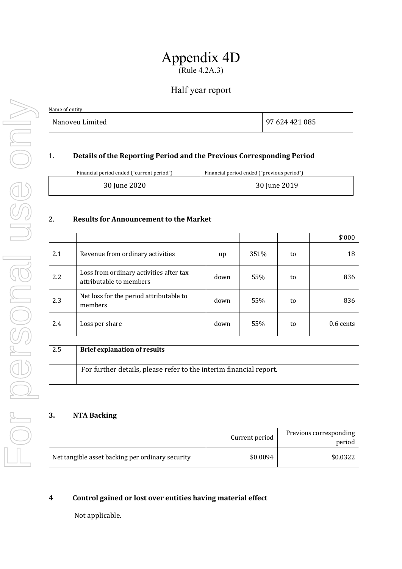# Appendix 4D (Rule 4.2A.3)

# Half year report

| Name of entity  |                |
|-----------------|----------------|
| Nanoveu Limited | 97 624 421 085 |

### 1. **Details of the Reporting Period and the Previous Corresponding Period**

Financial period ended ("current period") Financial period ended ("previous period")

| 30 June 2020<br>30 June 2019 |
|------------------------------|
|------------------------------|

#### 2. **Results for Announcement to the Market**

|     |                                                                    |      |      |    | \$'000      |  |
|-----|--------------------------------------------------------------------|------|------|----|-------------|--|
| 2.1 | Revenue from ordinary activities                                   | up   | 351% | to | 18          |  |
| 2.2 | Loss from ordinary activities after tax<br>attributable to members | down | 55%  | to | 836         |  |
| 2.3 | Net loss for the period attributable to<br>members                 | down | 55%  | to | 836         |  |
| 2.4 | Loss per share                                                     | down | 55%  | to | $0.6$ cents |  |
|     |                                                                    |      |      |    |             |  |
| 2.5 | <b>Brief explanation of results</b>                                |      |      |    |             |  |
|     | For further details, please refer to the interim financial report. |      |      |    |             |  |

#### **3. NTA Backing**

|                                                  | Current period | Previous corresponding<br>period |
|--------------------------------------------------|----------------|----------------------------------|
| Net tangible asset backing per ordinary security | \$0.0094       | \$0.0322                         |

#### **4 Control gained or lost over entities having material effect**

Not applicable.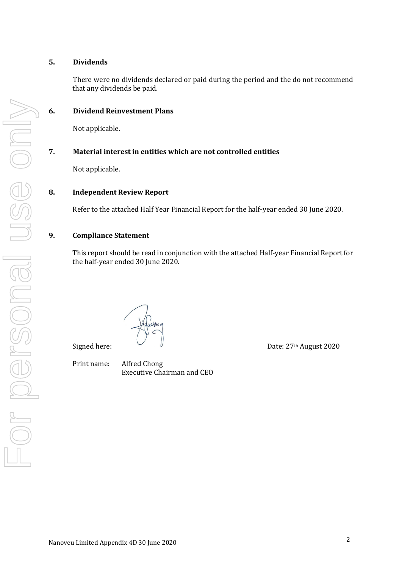#### **5. Dividends**

There were no dividends declared or paid during the period and the do not recommend that any dividends be paid.

#### **6. Dividend Reinvestment Plans**

Not applicable.

#### **7.** Material interest in entities which are not controlled entities

Not applicable.

#### **8. Independent Review Report**

Refer to the attached Half Year Financial Report for the half-year ended 30 June 2020.

#### **9. Compliance Statement**

This report should be read in conjunction with the attached Half-year Financial Report for the half-year ended 30 June 2020.

Signed here:  $\sqrt{27}$  Date: 27<sup>th</sup> August 2020

Print name: Alfred Chong Executive Chairman and CEO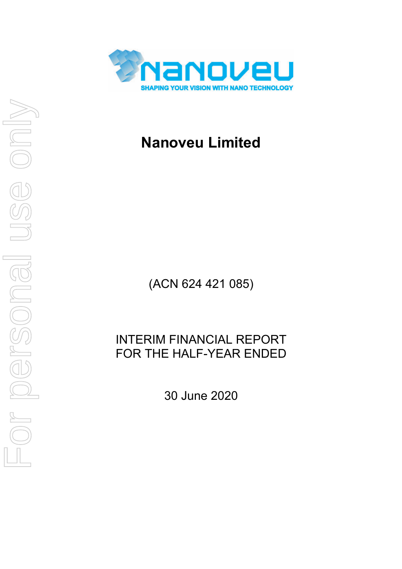

# **Nanoveu Limited**

(ACN 624 421 085)

# INTERIM FINANCIAL REPORT FOR THE HALF-YEAR ENDED

30 June 2020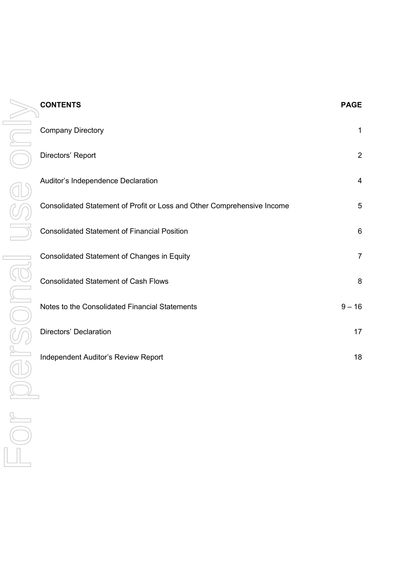|    | <b>CONTENTS</b>                                                         | <b>PAGE</b>    |
|----|-------------------------------------------------------------------------|----------------|
| j. | <b>Company Directory</b>                                                | 1              |
|    | Directors' Report                                                       | $\overline{2}$ |
|    | Auditor's Independence Declaration                                      | $\overline{4}$ |
|    | Consolidated Statement of Profit or Loss and Other Comprehensive Income | 5              |
|    | <b>Consolidated Statement of Financial Position</b>                     | 6              |
|    | Consolidated Statement of Changes in Equity                             | $\overline{7}$ |
|    | <b>Consolidated Statement of Cash Flows</b>                             | 8              |
|    | Notes to the Consolidated Financial Statements                          | $9 - 16$       |
|    | Directors' Declaration                                                  | 17             |
|    | Independent Auditor's Review Report                                     | 18             |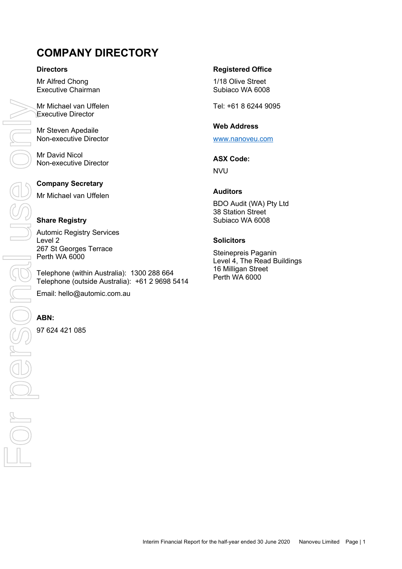# **COMPANY DIRECTORY**

#### **Directors**

Mr Alfred Chong Executive Chairman

Mr Michael van Uffelen Executive Director

Mr Steven Apedaile Non-executive Director

Mr David Nicol Non-executive Director

### **Company Secretary**

Mr Michael van Uffelen

### **Share Registry**

Automic Registry Services Level 2 267 St Georges Terrace Perth WA 6000

Telephone (within Australia): 1300 288 664 Telephone (outside Australia): +61 2 9698 5414 Email: hello@automic.com.au

97 624 421 085

### **Registered Office**

1/18 Olive Street Subiaco WA 6008

Tel: +61 8 6244 9095

### **Web Address**

www.nanoveu.com

### **ASX Code:**

NVU

#### **Auditors**

BDO Audit (WA) Pty Ltd 38 Station Street Subiaco WA 6008

### **Solicitors**

Steinepreis Paganin Level 4, The Read Buildings 16 Milligan Street Perth WA 6000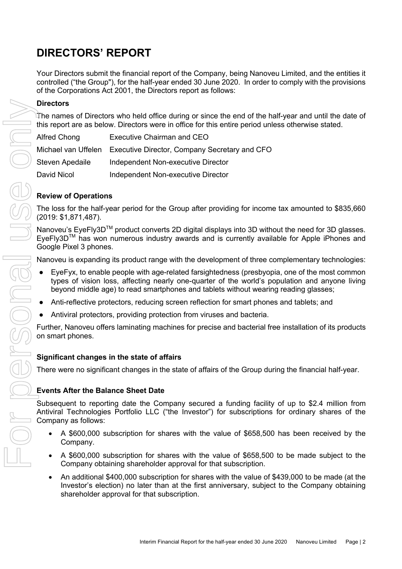# **DIRECTORS' REPORT**

Your Directors submit the financial report of the Company, being Nanoveu Limited, and the entities it controlled ("the Group"), for the half-year ended 30 June 2020. In order to comply with the provisions of the Corporations Act 2001, the Directors report as follows:

### **Directors**

The names of Directors who held office during or since the end of the half-year and until the date of this report are as below. Directors were in office for this entire period unless otherwise stated.

| Alfred Chong    | <b>Executive Chairman and CEO</b>                                 |
|-----------------|-------------------------------------------------------------------|
|                 | Michael van Uffelen Executive Director, Company Secretary and CFO |
| Steven Apedaile | Independent Non-executive Director                                |
| David Nicol     | Independent Non-executive Director                                |

### **Review of Operations**

The loss for the half-year period for the Group after providing for income tax amounted to \$835,660 (2019: \$1,871,487).

Nanoveu's EyeFly3D™ product converts 2D digital displays into 3D without the need for 3D glasses. EyeFly3DTM has won numerous industry awards and is currently available for Apple iPhones and Google Pixel 3 phones.

Nanoveu is expanding its product range with the development of three complementary technologies:

- EyeFyx, to enable people with age-related farsightedness (presbyopia, one of the most common types of vision loss, affecting nearly one-quarter of the world's population and anyone living beyond middle age) to read smartphones and tablets without wearing reading glasses;
- Anti-reflective protectors, reducing screen reflection for smart phones and tablets; and
- Antiviral protectors, providing protection from viruses and bacteria.

Further, Nanoveu offers laminating machines for precise and bacterial free installation of its products on smart phones.

### **Significant changes in the state of affairs**

There were no significant changes in the state of affairs of the Group during the financial half-year.

# **Events After the Balance Sheet Date**

Subsequent to reporting date the Company secured a funding facility of up to \$2.4 million from Antiviral Technologies Portfolio LLC ("the Investor") for subscriptions for ordinary shares of the Company as follows:

- A \$600,000 subscription for shares with the value of \$658,500 has been received by the Company.
- A \$600,000 subscription for shares with the value of \$658,500 to be made subject to the Company obtaining shareholder approval for that subscription.
- An additional \$400,000 subscription for shares with the value of \$439,000 to be made (at the Investor's election) no later than at the first anniversary, subject to the Company obtaining shareholder approval for that subscription.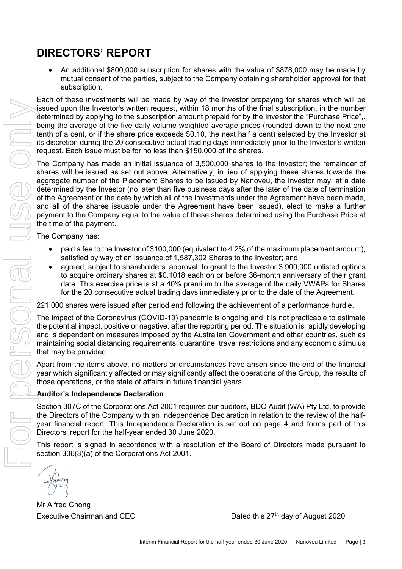# **DIRECTORS' REPORT**

• An additional \$800,000 subscription for shares with the value of \$878,000 may be made by mutual consent of the parties, subject to the Company obtaining shareholder approval for that subscription.

Each of these investments will be made by way of the Investor prepaying for shares which will be issued upon the Investor's written request, within 18 months of the final subscription, in the number determined by applying to the subscription amount prepaid for by the Investor the "Purchase Price",. being the average of the five daily volume-weighted average prices (rounded down to the next one tenth of a cent, or if the share price exceeds \$0.10, the next half a cent) selected by the Investor at its discretion during the 20 consecutive actual trading days immediately prior to the Investor's written request. Each issue must be for no less than \$150,000 of the shares.

The Company has made an initial issuance of 3,500,000 shares to the Investor; the remainder of shares will be issued as set out above. Alternatively, in lieu of applying these shares towards the aggregate number of the Placement Shares to be issued by Nanoveu, the Investor may, at a date determined by the Investor (no later than five business days after the later of the date of termination of the Agreement or the date by which all of the investments under the Agreement have been made, and all of the shares issuable under the Agreement have been issued), elect to make a further payment to the Company equal to the value of these shares determined using the Purchase Price at the time of the payment. Executive Company that the company that the mean of the this interaction of the company of the behavior of the form of the secure of the form of the form of the form of the form of the form of the form of the form of the f

The Company has:

- paid a fee to the Investor of \$100,000 (equivalent to 4.2% of the maximum placement amount), satisfied by way of an issuance of 1,587,302 Shares to the Investor; and
- agreed, subject to shareholders' approval, to grant to the Investor 3,900,000 unlisted options to acquire ordinary shares at \$0.1018 each on or before 36-month anniversary of their grant date. This exercise price is at a 40% premium to the average of the daily VWAPs for Shares for the 20 consecutive actual trading days immediately prior to the date of the Agreement.

221,000 shares were issued after period end following the achievement of a performance hurdle.

The impact of the Coronavirus (COVID-19) pandemic is ongoing and it is not practicable to estimate the potential impact, positive or negative, after the reporting period. The situation is rapidly developing and is dependent on measures imposed by the Australian Government and other countries, such as maintaining social distancing requirements, quarantine, travel restrictions and any economic stimulus that may be provided.

Apart from the items above, no matters or circumstances have arisen since the end of the financial year which significantly affected or may significantly affect the operations of the Group, the results of those operations, or the state of affairs in future financial years.

# **Auditor's Independence Declaration**

Section 307C of the Corporations Act 2001 requires our auditors, BDO Audit (WA) Pty Ltd, to provide the Directors of the Company with an Independence Declaration in relation to the review of the halfyear financial report. This Independence Declaration is set out on page 4 and forms part of this Directors' report for the half-year ended 30 June 2020.

This report is signed in accordance with a resolution of the Board of Directors made pursuant to section 306(3)(a) of the Corporations Act 2001.

Mr Alfred Chong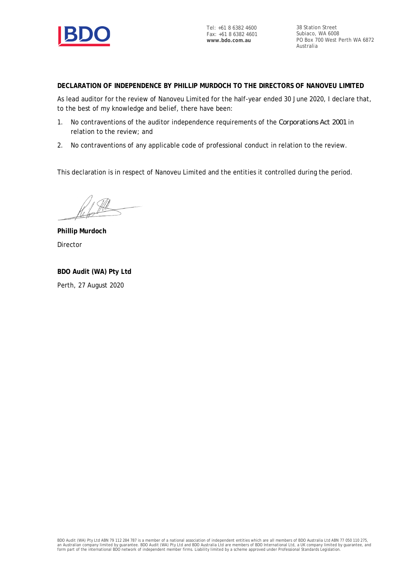

Tel: +61 8 6382 4600 Fax: +61 8 6382 4601 **www.bdo.com.au**

38 Station Street Subiaco, WA 6008 PO Box 700 West Perth WA 6872 Australia

**DECLARATION OF INDEPENDENCE BY PHILLIP MURDOCH TO THE DIRECTORS OF NANOVEU LIMITED**

As lead auditor for the review of Nanoveu Limited for the half-year ended 30 June 2020, I declare that, to the best of my knowledge and belief, there have been:

- 1. No contraventions of the auditor independence requirements of the *Corporations Act 2001* in relation to the review; and
- 2. No contraventions of any applicable code of professional conduct in relation to the review.

This declaration is in respect of Nanoveu Limited and the entities it controlled during the period.

**Phillip Murdoch** Director

**BDO Audit (WA) Pty Ltd** Perth, 27 August 2020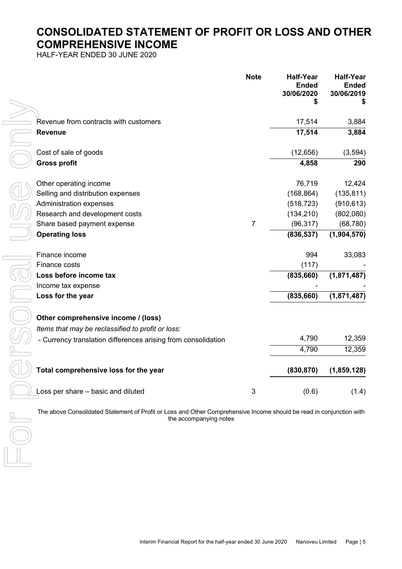# **CONSOLIDATED STATEMENT OF PROFIT OR LOSS AND OTHER COMPREHENSIVE INCOME**

HALF-YEAR ENDED 30 JUNE 2020

|                                                               | <b>Note</b>    | <b>Half-Year</b><br><b>Ended</b><br>30/06/2020 | <b>Half-Year</b><br><b>Ended</b><br>30/06/2019 |
|---------------------------------------------------------------|----------------|------------------------------------------------|------------------------------------------------|
|                                                               |                | \$                                             |                                                |
| Revenue from contracts with customers                         |                | 17,514                                         | 3,884                                          |
| <b>Revenue</b>                                                |                | 17,514                                         | 3,884                                          |
| Cost of sale of goods                                         |                | (12, 656)                                      | (3, 594)                                       |
| <b>Gross profit</b>                                           |                | 4,858                                          | 290                                            |
| Other operating income                                        |                | 76,719                                         | 12,424                                         |
| Selling and distribution expenses                             |                | (168, 864)                                     | (135, 811)                                     |
| Administration expenses                                       |                | (518, 723)                                     | (910, 613)                                     |
| Research and development costs                                |                | (134, 210)                                     | (802,080)                                      |
| Share based payment expense                                   | $\overline{7}$ | (96, 317)                                      | (68, 780)                                      |
| <b>Operating loss</b>                                         |                | (836, 537)                                     | (1,904,570)                                    |
| Finance income                                                |                | 994                                            | 33,083                                         |
| Finance costs                                                 |                | (117)                                          |                                                |
| Loss before income tax                                        |                | (835, 660)                                     | (1,871,487)                                    |
| Income tax expense                                            |                |                                                |                                                |
| Loss for the year                                             |                | (835, 660)                                     | (1,871,487)                                    |
| Other comprehensive income / (loss)                           |                |                                                |                                                |
| Items that may be reclassified to profit or loss:             |                |                                                |                                                |
| - Currency translation differences arising from consolidation |                | 4,790                                          | 12,359                                         |
|                                                               |                | 4,790                                          | 12,359                                         |
| Total comprehensive loss for the year                         |                | (830, 870)                                     | (1,859,128)                                    |
| Loss per share - basic and diluted                            | 3              | (0.6)                                          | (1.4)                                          |

The above Consolidated Statement of Profit or Loss and Other Comprehensive Income should be read in conjunction with the accompanying notes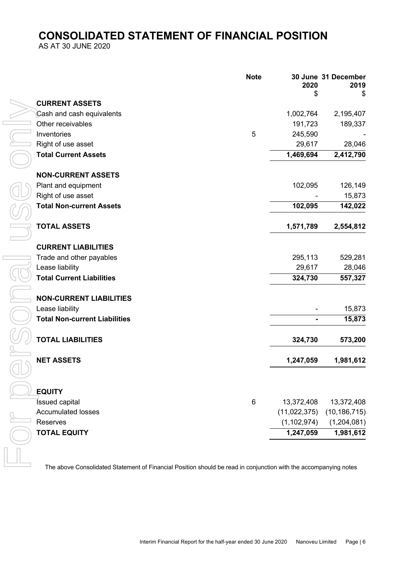# **CONSOLIDATED STATEMENT OF FINANCIAL POSITION**

AS AT 30 JUNE 2020

|                                                                                                                  | <b>Note</b> | 2020<br>S      | 30 June 31 December<br>2019<br>\$ |
|------------------------------------------------------------------------------------------------------------------|-------------|----------------|-----------------------------------|
| <b>CURRENT ASSETS</b>                                                                                            |             |                |                                   |
| Cash and cash equivalents                                                                                        |             | 1,002,764      | 2,195,407                         |
| Other receivables                                                                                                |             | 191,723        | 189,337                           |
| Inventories                                                                                                      | 5           | 245,590        |                                   |
| Right of use asset                                                                                               |             | 29,617         | 28,046                            |
| <b>Total Current Assets</b>                                                                                      |             | 1,469,694      | 2,412,790                         |
| <b>NON-CURRENT ASSETS</b>                                                                                        |             |                |                                   |
| Plant and equipment                                                                                              |             | 102,095        | 126,149                           |
| Right of use asset                                                                                               |             |                | 15,873                            |
| <b>Total Non-current Assets</b>                                                                                  |             | 102,095        | 142,022                           |
| <b>TOTAL ASSETS</b>                                                                                              |             | 1,571,789      | 2,554,812                         |
| <b>CURRENT LIABILITIES</b>                                                                                       |             |                |                                   |
| Trade and other payables                                                                                         |             | 295,113        | 529,281                           |
| Lease liability                                                                                                  |             | 29,617         | 28,046                            |
| <b>Total Current Liabilities</b>                                                                                 |             | 324,730        | 557,327                           |
| <b>NON-CURRENT LIABILITIES</b>                                                                                   |             |                |                                   |
| Lease liability                                                                                                  |             |                | 15,873                            |
| <b>Total Non-current Liabilities</b>                                                                             |             | $\blacksquare$ | 15,873                            |
| <b>TOTAL LIABILITIES</b>                                                                                         |             | 324,730        | 573,200                           |
| <b>NET ASSETS</b>                                                                                                |             | 1,247,059      | 1,981,612                         |
| <b>EQUITY</b>                                                                                                    |             |                |                                   |
| <b>Issued capital</b>                                                                                            | 6           | 13,372,408     | 13,372,408                        |
| <b>Accumulated losses</b>                                                                                        |             |                | $(11,022,375)$ $(10,186,715)$     |
| Reserves                                                                                                         |             |                | $(1,102,974)$ $(1,204,081)$       |
| <b>TOTAL EQUITY</b>                                                                                              |             | 1,247,059      | 1,981,612                         |
| The above Consolidated Statement of Financial Position should be read in conjunction with the accompanying notes |             |                |                                   |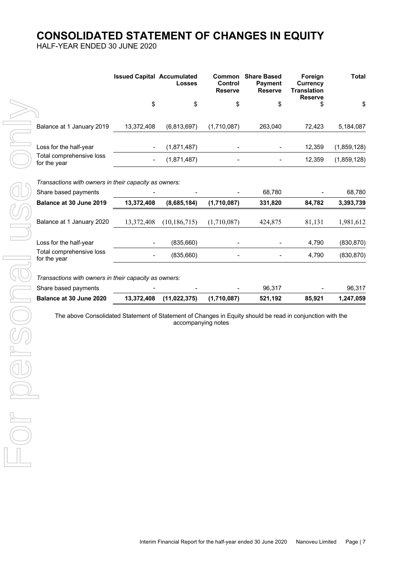# **CONSOLIDATED STATEMENT OF CHANGES IN EQUITY**

HALF-YEAR ENDED 30 JUNE 2020

|                                                       | <b>Issued Capital Accumulated</b> | <b>Losses</b> | <b>Common</b><br>Control<br><b>Reserve</b> | <b>Share Based</b><br><b>Payment</b><br><b>Reserve</b> | Foreign<br>Currency<br>Translation<br><b>Reserve</b> | Total       |
|-------------------------------------------------------|-----------------------------------|---------------|--------------------------------------------|--------------------------------------------------------|------------------------------------------------------|-------------|
|                                                       | \$                                | \$            | \$                                         | \$                                                     | \$                                                   | \$          |
| Balance at 1 January 2019                             | 13,372,408                        | (6,813,697)   | (1,710,087)                                | 263,040                                                | 72.423                                               | 5,184,087   |
| Loss for the half-year                                |                                   | (1,871,487)   |                                            |                                                        | 12.359                                               | (1,859,128) |
| Total comprehensive loss<br>for the year              |                                   | (1,871,487)   |                                            |                                                        | 12.359                                               | (1,859,128) |
| Transactions with owners in their capacity as owners: |                                   |               |                                            |                                                        |                                                      |             |
| Share based payments                                  |                                   |               |                                            | 68.780                                                 |                                                      | 68,780      |
| <b>Delense of 20 June 2040</b>                        | 42.272.400                        | 1000E40A      | (4.740.007)                                | 221.020                                                | 04700                                                | 2.202.720   |

| Balance at 30 June 2019                               | 13,372,408 | (8,685,184)    | (1,710,087) | 331,820 | 84,782 | 3,393,739  |
|-------------------------------------------------------|------------|----------------|-------------|---------|--------|------------|
| Balance at 1 January 2020                             | 13,372,408 | (10, 186, 715) | (1,710,087) | 424,875 | 81,131 | 1,981,612  |
| Loss for the half-year                                |            | (835, 660)     |             |         | 4,790  | (830, 870) |
| Total comprehensive loss<br>for the year              |            | (835,660)      |             |         | 4,790  | (830, 870) |
| Transactions with owners in their capacity as owners: |            |                |             |         |        |            |
| Share based payments                                  |            |                |             | 96,317  |        | 96,317     |
| Balance at 30 June 2020                               | 13,372,408 | (11, 022, 375) | (1,710,087) | 521,192 | 85,921 | 1,247,059  |
|                                                       |            |                |             |         |        |            |
|                                                       |            |                |             |         |        |            |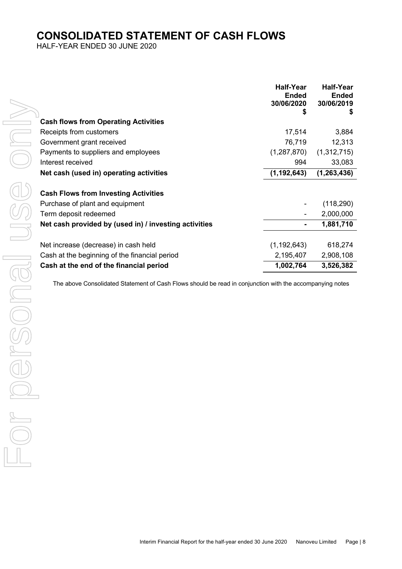# **CONSOLIDATED STATEMENT OF CASH FLOWS**

HALF-YEAR ENDED 30 JUNE 2020

|                                                       | <b>Half-Year</b><br><b>Ended</b><br>30/06/2020 | <b>Half-Year</b><br><b>Ended</b><br>30/06/2019<br>5 |
|-------------------------------------------------------|------------------------------------------------|-----------------------------------------------------|
| <b>Cash flows from Operating Activities</b>           |                                                |                                                     |
| Receipts from customers                               | 17,514                                         | 3,884                                               |
| Government grant received                             | 76,719                                         | 12,313                                              |
| Payments to suppliers and employees                   | (1, 287, 870)                                  | (1,312,715)                                         |
| Interest received                                     | 994                                            | 33,083                                              |
| Net cash (used in) operating activities               | (1, 192, 643)                                  | (1,263,436)                                         |
| <b>Cash Flows from Investing Activities</b>           |                                                |                                                     |
| Purchase of plant and equipment                       |                                                | (118, 290)                                          |
| Term deposit redeemed                                 |                                                | 2,000,000                                           |
| Net cash provided by (used in) / investing activities |                                                | 1,881,710                                           |
| Net increase (decrease) in cash held                  | (1, 192, 643)                                  | 618,274                                             |
| Cash at the beginning of the financial period         | 2,195,407                                      | 2,908,108                                           |
| Cash at the end of the financial period               | 1,002,764                                      | 3,526,382                                           |

The above Consolidated Statement of Cash Flows should be read in conjunction with the accompanying notes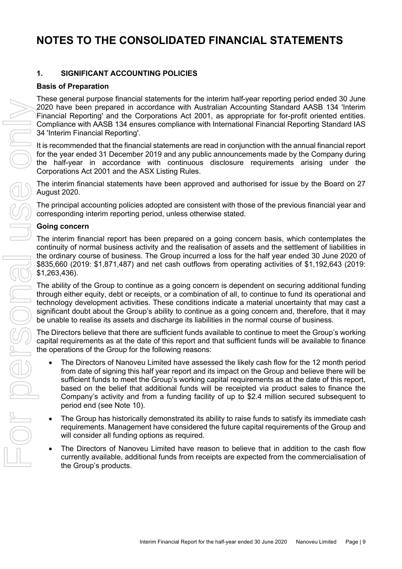### **1. SIGNIFICANT ACCOUNTING POLICIES**

#### **Basis of Preparation**

These general purpose financial statements for the interim half-year reporting period ended 30 June 2020 have been prepared in accordance with Australian Accounting Standard AASB 134 'Interim Financial Reporting' and the Corporations Act 2001, as appropriate for for-profit oriented entities. Compliance with AASB 134 ensures compliance with International Financial Reporting Standard IAS 34 'Interim Financial Reporting'.

It is recommended that the financial statements are read in conjunction with the annual financial report for the year ended 31 December 2019 and any public announcements made by the Company during the half-year in accordance with continuous disclosure requirements arising under the Corporations Act 2001 and the ASX Listing Rules.

The interim financial statements have been approved and authorised for issue by the Board on 27 August 2020.

The principal accounting policies adopted are consistent with those of the previous financial year and corresponding interim reporting period, unless otherwise stated.

#### **Going concern**

The interim financial report has been prepared on a going concern basis, which contemplates the continuity of normal business activity and the realisation of assets and the settlement of liabilities in the ordinary course of business. The Group incurred a loss for the half year ended 30 June 2020 of \$835,660 (2019: \$1,871,487) and net cash outflows from operating activities of \$1,192,643 (2019: \$1,263,436).

The ability of the Group to continue as a going concern is dependent on securing additional funding through either equity, debt or receipts, or a combination of all, to continue to fund its operational and technology development activities. These conditions indicate a material uncertainty that may cast a significant doubt about the Group's ability to continue as a going concern and, therefore, that it may be unable to realise its assets and discharge its liabilities in the normal course of business.

The Directors believe that there are sufficient funds available to continue to meet the Group's working capital requirements as at the date of this report and that sufficient funds will be available to finance the operations of the Group for the following reasons:

- The Directors of Nanoveu Limited have assessed the likely cash flow for the 12 month period from date of signing this half year report and its impact on the Group and believe there will be sufficient funds to meet the Group's working capital requirements as at the date of this report, based on the belief that additional funds will be receipted via product sales to finance the Company's activity and from a funding facility of up to \$2.4 million secured subsequent to period end (see Note 10).
- The Group has historically demonstrated its ability to raise funds to satisfy its immediate cash requirements. Management have considered the future capital requirements of the Group and will consider all funding options as required.
- The Directors of Nanoveu Limited have reason to believe that in addition to the cash flow currently available, additional funds from receipts are expected from the commercialisation of the Group's products.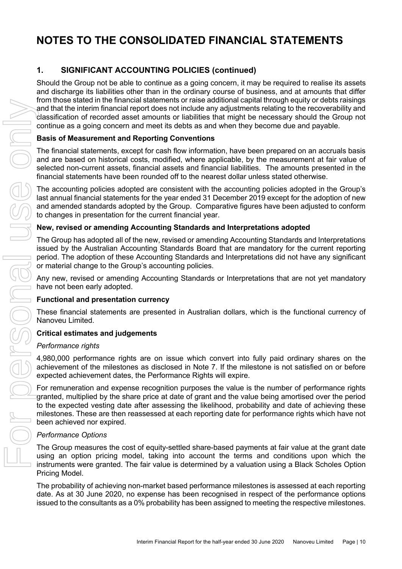# **1. SIGNIFICANT ACCOUNTING POLICIES (continued)**

Should the Group not be able to continue as a going concern, it may be required to realise its assets and discharge its liabilities other than in the ordinary course of business, and at amounts that differ from those stated in the financial statements or raise additional capital through equity or debts raisings and that the interim financial report does not include any adjustments relating to the recoverability and  $l$  dassification of recorded asset amounts or liabilities that might be necessary should the Group not continue as a going concern and meet its debts as and when they become due and payable.

### **Basis of Measurement and Reporting Conventions**

The financial statements, except for cash flow information, have been prepared on an accruals basis and are based on historical costs, modified, where applicable, by the measurement at fair value of selected non-current assets, financial assets and financial liabilities. The amounts presented in the financial statements have been rounded off to the nearest dollar unless stated otherwise.

The accounting policies adopted are consistent with the accounting policies adopted in the Group's last annual financial statements for the year ended 31 December 2019 except for the adoption of new and amended standards adopted by the Group. Comparative figures have been adjusted to conform to changes in presentation for the current financial year.

### **New, revised or amending Accounting Standards and Interpretations adopted**

The Group has adopted all of the new, revised or amending Accounting Standards and Interpretations issued by the Australian Accounting Standards Board that are mandatory for the current reporting period. The adoption of these Accounting Standards and Interpretations did not have any significant or material change to the Group's accounting policies.

Any new, revised or amending Accounting Standards or Interpretations that are not yet mandatory have not been early adopted.

#### **Functional and presentation currency**

These financial statements are presented in Australian dollars, which is the functional currency of Nanoveu Limited.

#### **Critical estimates and judgements**

#### *Performance rights*

4,980,000 performance rights are on issue which convert into fully paid ordinary shares on the achievement of the milestones as disclosed in Note 7. If the milestone is not satisfied on or before expected achievement dates, the Performance Rights will expire.

For remuneration and expense recognition purposes the value is the number of performance rights granted, multiplied by the share price at date of grant and the value being amortised over the period to the expected vesting date after assessing the likelihood, probability and date of achieving these milestones. These are then reassessed at each reporting date for performance rights which have not been achieved nor expired. issued to the consultants as a presented in Australian collection is the consultant of the consultant of a consultant of a consultant of a consultant of a consultant of a consultant of a consultant of a consultant of a con

#### *Performance Options*

The Group measures the cost of equity-settled share-based payments at fair value at the grant date using an option pricing model, taking into account the terms and conditions upon which the instruments were granted. The fair value is determined by a valuation using a Black Scholes Option Pricing Model.

The probability of achieving non-market based performance milestones is assessed at each reporting date. As at 30 June 2020, no expense has been recognised in respect of the performance options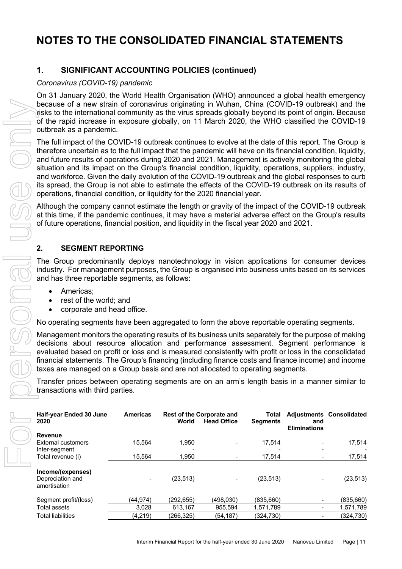# **1. SIGNIFICANT ACCOUNTING POLICIES (continued)**

### *Coronavirus (COVID-19) pandemic*

On 31 January 2020, the World Health Organisation (WHO) announced a global health emergency because of a new strain of coronavirus originating in Wuhan, China (COVID-19 outbreak) and the risks to the international community as the virus spreads globally beyond its point of origin. Because of the rapid increase in exposure globally, on 11 March 2020, the WHO classified the COVID-19 outbreak as a pandemic.

### **2. SEGMENT REPORTING**

- Americas;
- rest of the world; and
- corporate and head office.

|  | because of a new strain of coronavirus originating in Wuhan, China (COVID-19 outbreak) and the<br>risks to the international community as the virus spreads globally beyond its point of origin. Because<br>of the rapid increase in exposure globally, on 11 March 2020, the WHO classified the COVID-19<br>outbreak as a pandemic.                                                                                                                                                                                                                                                                                                                                                                                                 |                 |            |                                                        |                          |                            |                                 |
|--|--------------------------------------------------------------------------------------------------------------------------------------------------------------------------------------------------------------------------------------------------------------------------------------------------------------------------------------------------------------------------------------------------------------------------------------------------------------------------------------------------------------------------------------------------------------------------------------------------------------------------------------------------------------------------------------------------------------------------------------|-----------------|------------|--------------------------------------------------------|--------------------------|----------------------------|---------------------------------|
|  | The full impact of the COVID-19 outbreak continues to evolve at the date of this report. The Group is<br>therefore uncertain as to the full impact that the pandemic will have on its financial condition, liquidity,<br>and future results of operations during 2020 and 2021. Management is actively monitoring the global<br>situation and its impact on the Group's financial condition, liquidity, operations, suppliers, industry,<br>and workforce. Given the daily evolution of the COVID-19 outbreak and the global responses to curb<br>its spread, the Group is not able to estimate the effects of the COVID-19 outbreak on its results of<br>operations, financial condition, or liquidity for the 2020 financial year. |                 |            |                                                        |                          |                            |                                 |
|  | Although the company cannot estimate the length or gravity of the impact of the COVID-19 outbreak<br>at this time, if the pandemic continues, it may have a material adverse effect on the Group's results<br>of future operations, financial position, and liquidity in the fiscal year 2020 and 2021.                                                                                                                                                                                                                                                                                                                                                                                                                              |                 |            |                                                        |                          |                            |                                 |
|  | 2.<br><b>SEGMENT REPORTING</b>                                                                                                                                                                                                                                                                                                                                                                                                                                                                                                                                                                                                                                                                                                       |                 |            |                                                        |                          |                            |                                 |
|  | The Group predominantly deploys nanotechnology in vision applications for consumer devices<br>industry. For management purposes, the Group is organised into business units based on its services<br>and has three reportable segments, as follows:                                                                                                                                                                                                                                                                                                                                                                                                                                                                                  |                 |            |                                                        |                          |                            |                                 |
|  | Americas;<br>rest of the world; and<br>corporate and head office.                                                                                                                                                                                                                                                                                                                                                                                                                                                                                                                                                                                                                                                                    |                 |            |                                                        |                          |                            |                                 |
|  | No operating segments have been aggregated to form the above reportable operating segments.                                                                                                                                                                                                                                                                                                                                                                                                                                                                                                                                                                                                                                          |                 |            |                                                        |                          |                            |                                 |
|  | Management monitors the operating results of its business units separately for the purpose of making<br>decisions about resource allocation and performance assessment. Segment performance is<br>evaluated based on profit or loss and is measured consistently with profit or loss in the consolidated<br>financial statements. The Group's financing (including finance costs and finance income) and income<br>taxes are managed on a Group basis and are not allocated to operating segments.                                                                                                                                                                                                                                   |                 |            |                                                        |                          |                            |                                 |
|  | Transfer prices between operating segments are on an arm's length basis in a manner similar to<br>transactions with third parties.                                                                                                                                                                                                                                                                                                                                                                                                                                                                                                                                                                                                   |                 |            |                                                        |                          |                            |                                 |
|  | Half-year Ended 30 June<br>2020                                                                                                                                                                                                                                                                                                                                                                                                                                                                                                                                                                                                                                                                                                      | <b>Americas</b> | World      | <b>Rest of the Corporate and</b><br><b>Head Office</b> | Total<br><b>Segments</b> | and<br><b>Eliminations</b> | <b>Adjustments Consolidated</b> |
|  | <b>Revenue</b><br>External customers                                                                                                                                                                                                                                                                                                                                                                                                                                                                                                                                                                                                                                                                                                 | 15,564          | 1,950      |                                                        | 17,514                   |                            | 17,514                          |
|  | Inter-segment                                                                                                                                                                                                                                                                                                                                                                                                                                                                                                                                                                                                                                                                                                                        |                 |            |                                                        |                          |                            |                                 |
|  | Total revenue (i)                                                                                                                                                                                                                                                                                                                                                                                                                                                                                                                                                                                                                                                                                                                    | 15,564          | 1,950      |                                                        | 17,514                   |                            | 17,514                          |
|  | Income/(expenses)<br>Depreciation and<br>amortisation                                                                                                                                                                                                                                                                                                                                                                                                                                                                                                                                                                                                                                                                                |                 | (23, 513)  |                                                        | (23, 513)                |                            | (23, 513)                       |
|  | Segment profit/(loss)                                                                                                                                                                                                                                                                                                                                                                                                                                                                                                                                                                                                                                                                                                                | (44, 974)       | (292, 655) | (498, 030)                                             | (835, 660)               |                            | (835,660)                       |
|  | <b>Total assets</b>                                                                                                                                                                                                                                                                                                                                                                                                                                                                                                                                                                                                                                                                                                                  | 3,028           | 613,167    | 955,594                                                | 1,571,789                | $\overline{\phantom{a}}$   | 1,571,789                       |
|  | <b>Total liabilities</b>                                                                                                                                                                                                                                                                                                                                                                                                                                                                                                                                                                                                                                                                                                             | (4, 219)        | (266, 325) | (54, 187)                                              | (324, 730)               | $\overline{\phantom{a}}$   | (324, 730)                      |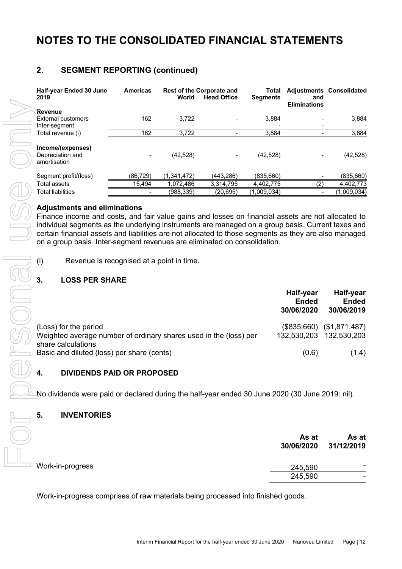# **2. SEGMENT REPORTING (continued)**

| Half-year Ended 30 June<br>2019                                                                                                                                                                                                                                                                                                                                                                                                      | <b>Americas</b> | World         | <b>Rest of the Corporate and</b><br><b>Head Office</b> | Total<br><b>Segments</b> | and<br><b>Eliminations</b>              | <b>Adjustments Consolidated</b>         |
|--------------------------------------------------------------------------------------------------------------------------------------------------------------------------------------------------------------------------------------------------------------------------------------------------------------------------------------------------------------------------------------------------------------------------------------|-----------------|---------------|--------------------------------------------------------|--------------------------|-----------------------------------------|-----------------------------------------|
| Revenue                                                                                                                                                                                                                                                                                                                                                                                                                              |                 |               |                                                        |                          |                                         |                                         |
| External customers<br>Inter-segment                                                                                                                                                                                                                                                                                                                                                                                                  | 162             | 3,722         |                                                        | 3,884                    |                                         | 3,884                                   |
| Total revenue (i)                                                                                                                                                                                                                                                                                                                                                                                                                    | 162             | 3,722         |                                                        | 3,884                    |                                         | 3,884                                   |
| Income/(expenses)<br>Depreciation and<br>amortisation                                                                                                                                                                                                                                                                                                                                                                                |                 | (42, 528)     |                                                        | (42, 528)                |                                         | (42, 528)                               |
| Segment profit/(loss)                                                                                                                                                                                                                                                                                                                                                                                                                | (86, 729)       | (1, 341, 472) | (443, 286)                                             | (835, 660)               |                                         | (835, 660)                              |
| <b>Total assets</b>                                                                                                                                                                                                                                                                                                                                                                                                                  | 15,494          | 1,072,486     | 3,314,795                                              | 4,402,775                | $\overline{(2)}$                        | 4,402,773                               |
| <b>Total liabilities</b>                                                                                                                                                                                                                                                                                                                                                                                                             |                 | (988, 339)    | (20, 695)                                              | (1,009,034)              |                                         | $\sqrt{(1,009,034)}$                    |
| <b>Adjustments and eliminations</b><br>Finance income and costs, and fair value gains and losses on financial assets are not allocated to<br>individual segments as the underlying instruments are managed on a group basis. Current taxes and<br>certain financial assets and liabilities are not allocated to those segments as they are also managed<br>on a group basis. Inter-segment revenues are eliminated on consolidation. |                 |               |                                                        |                          |                                         |                                         |
| (i)<br>Revenue is recognised at a point in time.                                                                                                                                                                                                                                                                                                                                                                                     |                 |               |                                                        |                          |                                         |                                         |
| 3.<br><b>LOSS PER SHARE</b>                                                                                                                                                                                                                                                                                                                                                                                                          |                 |               |                                                        |                          |                                         |                                         |
|                                                                                                                                                                                                                                                                                                                                                                                                                                      |                 |               |                                                        |                          | Half-year<br><b>Ended</b><br>30/06/2020 | Half-year<br><b>Ended</b><br>30/06/2019 |
| (Loss) for the period<br>Weighted average number of ordinary shares used in the (loss) per                                                                                                                                                                                                                                                                                                                                           |                 |               |                                                        |                          | (\$835,660)<br>132,530,203              | (\$1,871,487)<br>132,530,203            |
| share calculations<br>Basic and diluted (loss) per share (cents)                                                                                                                                                                                                                                                                                                                                                                     |                 |               |                                                        |                          | (0.6)                                   | (1.4)                                   |
| <b>DIVIDENDS PAID OR PROPOSED</b><br>4.                                                                                                                                                                                                                                                                                                                                                                                              |                 |               |                                                        |                          |                                         |                                         |
| No dividends were paid or declared during the half-year ended 30 June 2020 (30 June 2019: nil).                                                                                                                                                                                                                                                                                                                                      |                 |               |                                                        |                          |                                         |                                         |
| 5.<br><b>INVENTORIES</b>                                                                                                                                                                                                                                                                                                                                                                                                             |                 |               |                                                        |                          |                                         |                                         |
|                                                                                                                                                                                                                                                                                                                                                                                                                                      |                 |               |                                                        |                          | As at<br>30/06/2020                     | As at<br>31/12/2019                     |
| Work-in-progress                                                                                                                                                                                                                                                                                                                                                                                                                     |                 |               |                                                        |                          | 245,590                                 |                                         |
|                                                                                                                                                                                                                                                                                                                                                                                                                                      |                 |               |                                                        |                          | 245,590                                 |                                         |
| Work-in-progress comprises of raw materials being processed into finished goods.                                                                                                                                                                                                                                                                                                                                                     |                 |               |                                                        |                          |                                         |                                         |

# **Adjustments and eliminations**

### **3. LOSS PER SHARE**

| (i)<br>Revenue is recognised at a point in time.                                                                 |                                         |                                         |
|------------------------------------------------------------------------------------------------------------------|-----------------------------------------|-----------------------------------------|
| 3.<br><b>LOSS PER SHARE</b>                                                                                      |                                         |                                         |
|                                                                                                                  | Half-year<br><b>Ended</b><br>30/06/2020 | Half-year<br><b>Ended</b><br>30/06/2019 |
| (Loss) for the period<br>Weighted average number of ordinary shares used in the (loss) per<br>share calculations | (\$835,660)<br>132,530,203              | (\$1,871,487)<br>132,530,203            |
| Basic and diluted (loss) per share (cents)                                                                       | (0.6)                                   | (1.4)                                   |

#### **4. DIVIDENDS PAID OR PROPOSED**

#### **5. INVENTORIES**

|                  | As at<br>30/06/2020 | As at<br>31/12/2019 |
|------------------|---------------------|---------------------|
| Work-in-progress | 245,590             | -                   |
|                  | 245,590             |                     |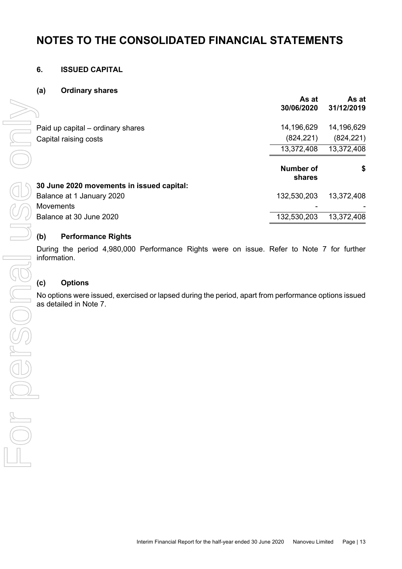### **6. ISSUED CAPITAL**

#### **(a) Ordinary shares**

|                                           | As at<br>30/06/2020        | As at<br>31/12/2019 |
|-------------------------------------------|----------------------------|---------------------|
| Paid up capital – ordinary shares         | 14,196,629                 | 14,196,629          |
| Capital raising costs                     | (824, 221)                 | (824, 221)          |
|                                           | 13,372,408                 | 13,372,408          |
|                                           |                            |                     |
|                                           | <b>Number of</b><br>shares | \$                  |
| 30 June 2020 movements in issued capital: |                            |                     |
| Balance at 1 January 2020                 | 132,530,203                | 13,372,408          |
| <b>Movements</b>                          |                            |                     |

### **(b) Performance Rights**

During the period 4,980,000 Performance Rights were on issue. Refer to Note 7 for further information.

### **(c) Options**

No options were issued, exercised or lapsed during the period, apart from performance options issued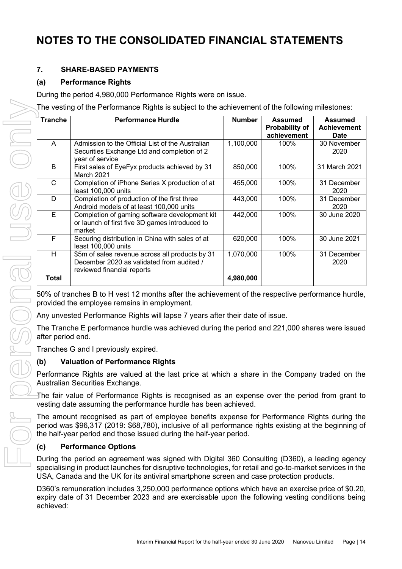# **7. SHARE-BASED PAYMENTS**

# **(a) Performance Rights**

During the period 4,980,000 Performance Rights were on issue.

The vesting of the Performance Rights is subject to the achievement of the following milestones:

| <b>Tranche</b> | <b>Performance Hurdle</b>                                                                                                  | <b>Number</b> | <b>Assumed</b><br>Probability of<br>achievement | <b>Assumed</b><br><b>Achievement</b><br><b>Date</b> |
|----------------|----------------------------------------------------------------------------------------------------------------------------|---------------|-------------------------------------------------|-----------------------------------------------------|
| A              | Admission to the Official List of the Australian<br>Securities Exchange Ltd and completion of 2<br>year of service         | 1,100,000     | 100%                                            | 30 November<br>2020                                 |
| B              | First sales of EyeFyx products achieved by 31<br>March 2021                                                                | 850,000       | 100%                                            | 31 March 2021                                       |
| $\mathsf{C}$   | Completion of iPhone Series X production of at<br>least 100,000 units                                                      | 455,000       | 100%                                            | 31 December<br>2020                                 |
| D              | Completion of production of the first three<br>Android models of at least 100,000 units                                    | 443,000       | 100%                                            | 31 December<br>2020                                 |
| $\overline{E}$ | Completion of gaming software development kit<br>or launch of first five 3D games introduced to<br>market                  | 442,000       | 100%                                            | 30 June 2020                                        |
| F              | Securing distribution in China with sales of at<br>least 100,000 units                                                     | 620,000       | 100%                                            | 30 June 2021                                        |
| H              | \$5m of sales revenue across all products by 31<br>December 2020 as validated from audited /<br>reviewed financial reports | 1,070,000     | 100%                                            | 31 December<br>2020                                 |
| <b>Total</b>   |                                                                                                                            | 4,980,000     |                                                 |                                                     |

provided the employee remains in employment.

Any unvested Performance Rights will lapse 7 years after their date of issue.

The Tranche E performance hurdle was achieved during the period and 221,000 shares were issued after period end.

Tranches G and I previously expired.

### **(b) Valuation of Performance Rights**

Performance Rights are valued at the last price at which a share in the Company traded on the Australian Securities Exchange.

The fair value of Performance Rights is recognised as an expense over the period from grant to vesting date assuming the performance hurdle has been achieved.

The amount recognised as part of employee benefits expense for Performance Rights during the period was \$96,317 (2019: \$68,780), inclusive of all performance rights existing at the beginning of the half-year period and those issued during the half-year period.

# **(c) Performance Options**

During the period an agreement was signed with Digital 360 Consulting (D360), a leading agency specialising in product launches for disruptive technologies, for retail and go-to-market services in the USA, Canada and the UK for its antiviral smartphone screen and case protection products.

D360's remuneration includes 3,250,000 performance options which have an exercise price of \$0.20, expiry date of 31 December 2023 and are exercisable upon the following vesting conditions being achieved: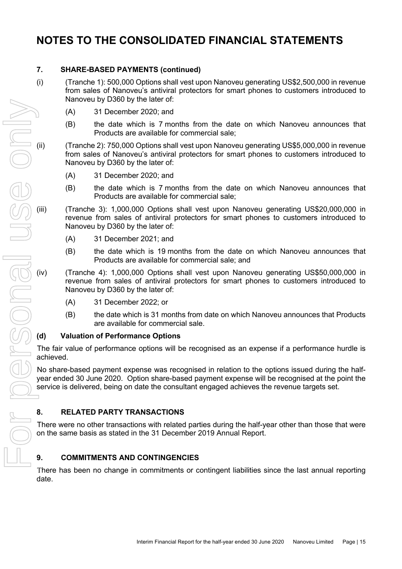### **7. SHARE-BASED PAYMENTS (continued)**

- (i) (Tranche 1): 500,000 Options shall vest upon Nanoveu generating US\$2,500,000 in revenue from sales of Nanoveu's antiviral protectors for smart phones to customers introduced to Nanoveu by D360 by the later of:
	- (A) 31 December 2020; and
	- (B) the date which is 7 months from the date on which Nanoveu announces that Products are available for commercial sale;
- (ii) (Tranche 2): 750,000 Options shall vest upon Nanoveu generating US\$5,000,000 in revenue from sales of Nanoveu's antiviral protectors for smart phones to customers introduced to Nanoveu by D360 by the later of:
	- (A) 31 December 2020; and
	- (B) the date which is 7 months from the date on which Nanoveu announces that Products are available for commercial sale;
- (iii) (Tranche 3): 1,000,000 Options shall vest upon Nanoveu generating US\$20,000,000 in revenue from sales of antiviral protectors for smart phones to customers introduced to Nanoveu by D360 by the later of:
	- (A) 31 December 2021; and
	- (B) the date which is 19 months from the date on which Nanoveu announces that Products are available for commercial sale; and
- (iv) (Tranche 4): 1,000,000 Options shall vest upon Nanoveu generating US\$50,000,000 in revenue from sales of antiviral protectors for smart phones to customers introduced to Nanoveu by D360 by the later of:
	- (A) 31 December 2022; or
	- (B) the date which is 31 months from date on which Nanoveu announces that Products are available for commercial sale.

### **(d) Valuation of Performance Options**

The fair value of performance options will be recognised as an expense if a performance hurdle is achieved.

No share-based payment expense was recognised in relation to the options issued during the halfyear ended 30 June 2020. Option share-based payment expense will be recognised at the point the service is delivered, being on date the consultant engaged achieves the revenue targets set.

### **8. RELATED PARTY TRANSACTIONS**

There were no other transactions with related parties during the half-year other than those that were on the same basis as stated in the 31 December 2019 Annual Report.

### **9. COMMITMENTS AND CONTINGENCIES**

date.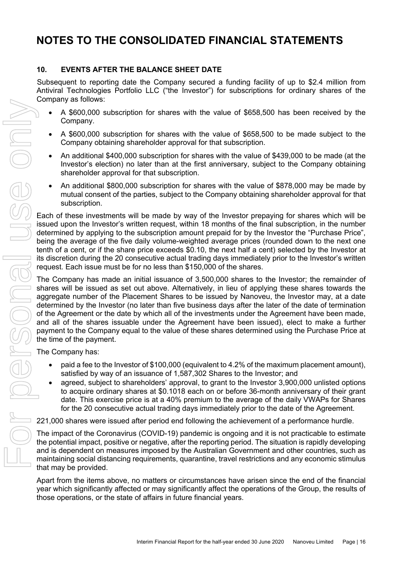### **10. EVENTS AFTER THE BALANCE SHEET DATE**

Subsequent to reporting date the Company secured a funding facility of up to \$2.4 million from Antiviral Technologies Portfolio LLC ("the Investor") for subscriptions for ordinary shares of the Company as follows:

- A \$600,000 subscription for shares with the value of \$658,500 has been received by the Company.
- A \$600,000 subscription for shares with the value of \$658,500 to be made subject to the Company obtaining shareholder approval for that subscription.
- An additional \$400,000 subscription for shares with the value of \$439,000 to be made (at the Investor's election) no later than at the first anniversary, subject to the Company obtaining shareholder approval for that subscription.
- An additional \$800,000 subscription for shares with the value of \$878,000 may be made by mutual consent of the parties, subject to the Company obtaining shareholder approval for that subscription.

Each of these investments will be made by way of the Investor prepaying for shares which will be issued upon the Investor's written request, within 18 months of the final subscription, in the number determined by applying to the subscription amount prepaid for by the Investor the "Purchase Price", being the average of the five daily volume-weighted average prices (rounded down to the next one tenth of a cent, or if the share price exceeds \$0.10, the next half a cent) selected by the Investor at its discretion during the 20 consecutive actual trading days immediately prior to the Investor's written request. Each issue must be for no less than \$150,000 of the shares.

The Company has made an initial issuance of 3,500,000 shares to the Investor; the remainder of shares will be issued as set out above. Alternatively, in lieu of applying these shares towards the aggregate number of the Placement Shares to be issued by Nanoveu, the Investor may, at a date determined by the Investor (no later than five business days after the later of the date of termination of the Agreement or the date by which all of the investments under the Agreement have been made, and all of the shares issuable under the Agreement have been issued), elect to make a further payment to the Company equal to the value of these shares determined using the Purchase Price at the time of the payment. over a state of a state of a state of a state of a state of a state of a company.<br>
A state of company obtaining shareholder approval for that subset and the of company obtaining shareholder approval for that subset and the

The Company has:

- paid a fee to the Investor of \$100,000 (equivalent to 4.2% of the maximum placement amount), satisfied by way of an issuance of 1,587,302 Shares to the Investor; and
- agreed, subject to shareholders' approval, to grant to the Investor 3,900,000 unlisted options to acquire ordinary shares at \$0.1018 each on or before 36-month anniversary of their grant date. This exercise price is at a 40% premium to the average of the daily VWAPs for Shares for the 20 consecutive actual trading days immediately prior to the date of the Agreement.

221,000 shares were issued after period end following the achievement of a performance hurdle.

The impact of the Coronavirus (COVID-19) pandemic is ongoing and it is not practicable to estimate the potential impact, positive or negative, after the reporting period. The situation is rapidly developing and is dependent on measures imposed by the Australian Government and other countries, such as maintaining social distancing requirements, quarantine, travel restrictions and any economic stimulus that may be provided.

Apart from the items above, no matters or circumstances have arisen since the end of the financial year which significantly affected or may significantly affect the operations of the Group, the results of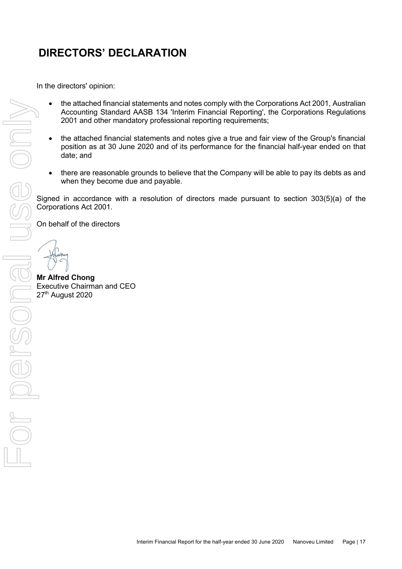# **DIRECTORS' DECLARATION**

In the directors' opinion:

- the attached financial statements and notes comply with the Corporations Act 2001, Australian Accounting Standard AASB 134 'Interim Financial Reporting', the Corporations Regulations 2001 and other mandatory professional reporting requirements;
- the attached financial statements and notes give a true and fair view of the Group's financial position as at 30 June 2020 and of its performance for the financial half-year ended on that date; and Signed in accordance with a resolution of directors made pursuant to section 303(5)(a) of the interval company will be able to pay its debts as and when they become due and payable.<br>Signed in accordance with a resolution o
	- there are reasonable grounds to believe that the Company will be able to pay its debts as and when they become due and payable.

Corporations Act 2001.

On behalf of the directors

**Mr Alfred Chong** ∃ Executive Chairman and CEO<br>27<sup>th</sup> August 2020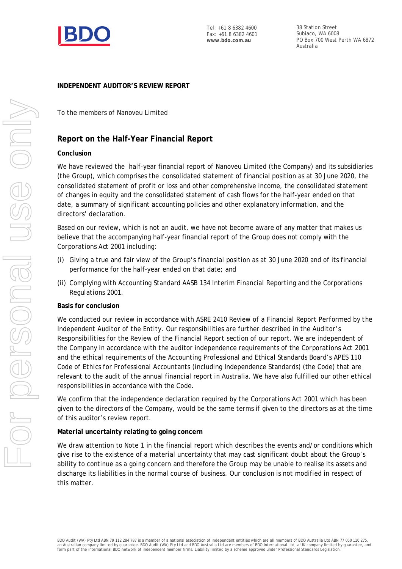

Tel: +61 8 6382 4600 Fax: +61 8 6382 4601 **www.bdo.com.au**

38 Station Street Subiaco, WA 6008 PO Box 700 West Perth WA 6872 Australia

#### **INDEPENDENT AUDITOR'S REVIEW REPORT**

#### To the members of Nanoveu Limited

#### **Report on the Half-Year Financial Report**

#### **Conclusion**

We have reviewed the half-year financial report of Nanoveu Limited (the Company) and its subsidiaries (the Group), which comprises the consolidated statement of financial position as at 30 June 2020, the consolidated statement of profit or loss and other comprehensive income, the consolidated statement of changes in equity and the consolidated statement of cash flows for the half-year ended on that date, a summary of significant accounting policies and other explanatory information, and the directors' declaration.

Based on our review, which is not an audit, we have not become aware of any matter that makes us believe that the accompanying half-year financial report of the Group does not comply with the *Corporations Act 2001* including:

- (i) Giving a true and fair view of the Group's financial position as at 30 June 2020 and of its financial performance for the half-year ended on that date; and
- (ii) Complying with Accounting Standard AASB 134 *Interim Financial Reporting* and the *Corporations Regulations 2001.*

#### **Basis for conclusion**

We conducted our review in accordance with ASRE 2410 *Review of a Financial Report Performed by the Independent Auditor of the Entity*. Our responsibilities are further described in the *Auditor's Responsibilities for the Review of the Financial Report* section of our report. We are independent of the Company in accordance with the auditor independence requirements of the *Corporations Act 2001* and the ethical requirements of the Accounting Professional and Ethical Standards Board's APES 110 *Code of Ethics for Professional Accountants (including Independence Standards)* (the Code) that are relevant to the audit of the annual financial report in Australia. We have also fulfilled our other ethical responsibilities in accordance with the Code.

We confirm that the independence declaration required by the *Corporations Act 2001* which has been given to the directors of the Company, would be the same terms if given to the directors as at the time of this auditor's review report.

#### **Material uncertainty relating to going concern**

We draw attention to Note 1 in the financial report which describes the events and/or conditions which give rise to the existence of a material uncertainty that may cast significant doubt about the Group's ability to continue as a going concern and therefore the Group may be unable to realise its assets and discharge its liabilities in the normal course of business. Our conclusion is not modified in respect of this matter.